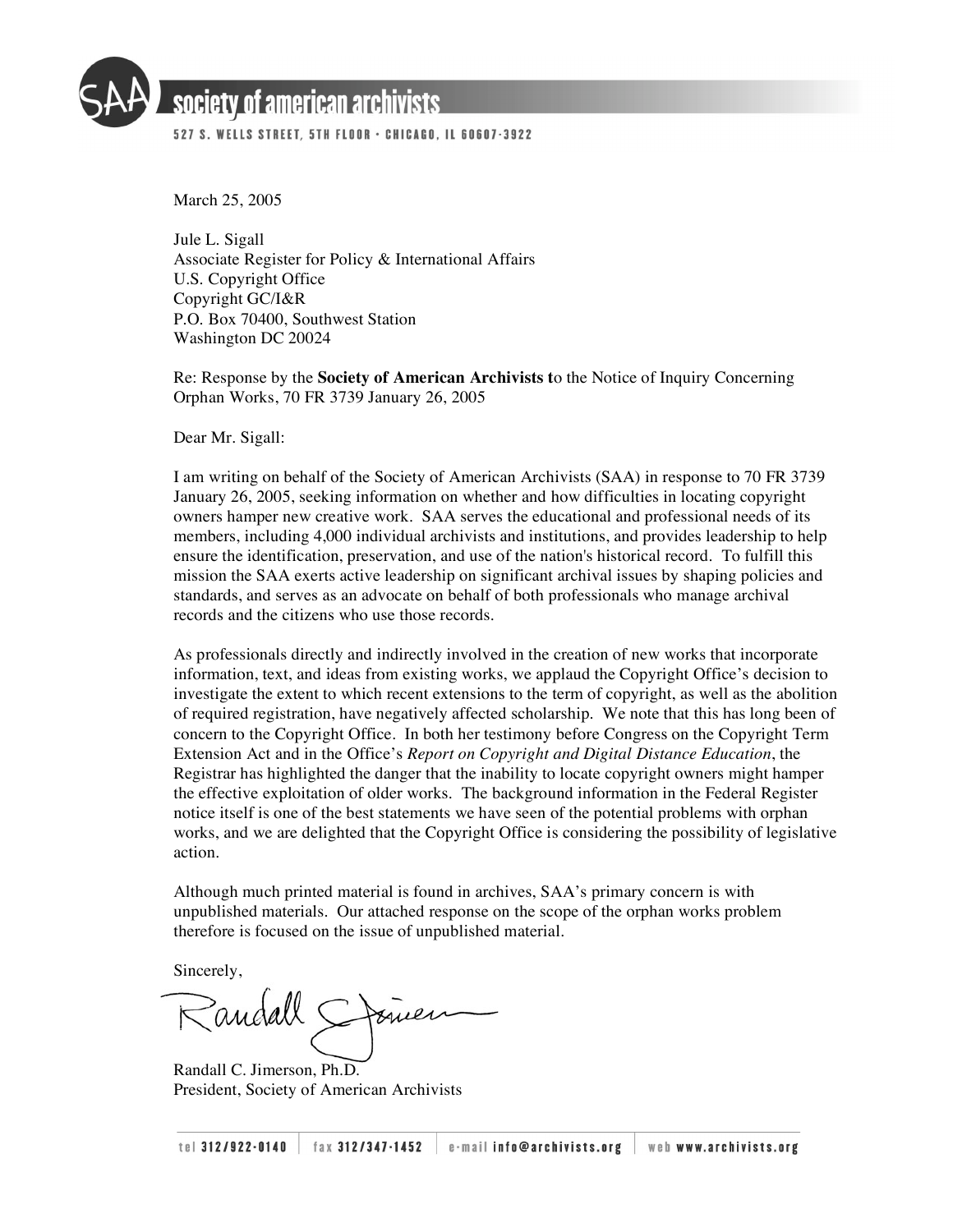

# society of american archivists

527 S. WELLS STREET, 5TH FLOOR · CHICAGO, IL 60607-3922

March 25, 2005

Jule L. Sigall Associate Register for Policy & International Affairs U.S. Copyright Office Copyright GC/I&R P.O. Box 70400, Southwest Station Washington DC 20024

Re: Response by the **Society of American Archivists t**o the Notice of Inquiry Concerning Orphan Works, 70 FR 3739 January 26, 2005

Dear Mr. Sigall:

I am writing on behalf of the Society of American Archivists (SAA) in response to 70 FR 3739 January 26, 2005, seeking information on whether and how difficulties in locating copyright owners hamper new creative work. SAA serves the educational and professional needs of its members, including 4,000 individual archivists and institutions, and provides leadership to help ensure the identification, preservation, and use of the nation's historical record. To fulfill this mission the SAA exerts active leadership on significant archival issues by shaping policies and standards, and serves as an advocate on behalf of both professionals who manage archival records and the citizens who use those records.

As professionals directly and indirectly involved in the creation of new works that incorporate information, text, and ideas from existing works, we applaud the Copyright Office's decision to investigate the extent to which recent extensions to the term of copyright, as well as the abolition of required registration, have negatively affected scholarship. We note that this has long been of concern to the Copyright Office. In both her testimony before Congress on the Copyright Term Extension Act and in the Office's *Report on Copyright and Digital Distance Education*, the Registrar has highlighted the danger that the inability to locate copyright owners might hamper the effective exploitation of older works. The background information in the Federal Register notice itself is one of the best statements we have seen of the potential problems with orphan works, and we are delighted that the Copyright Office is considering the possibility of legislative action.

Although much printed material is found in archives, SAA's primary concern is with unpublished materials. Our attached response on the scope of the orphan works problem therefore is focused on the issue of unpublished material.

Sincerely,

Randall C. Jimerson, Ph.D. President, Society of American Archivists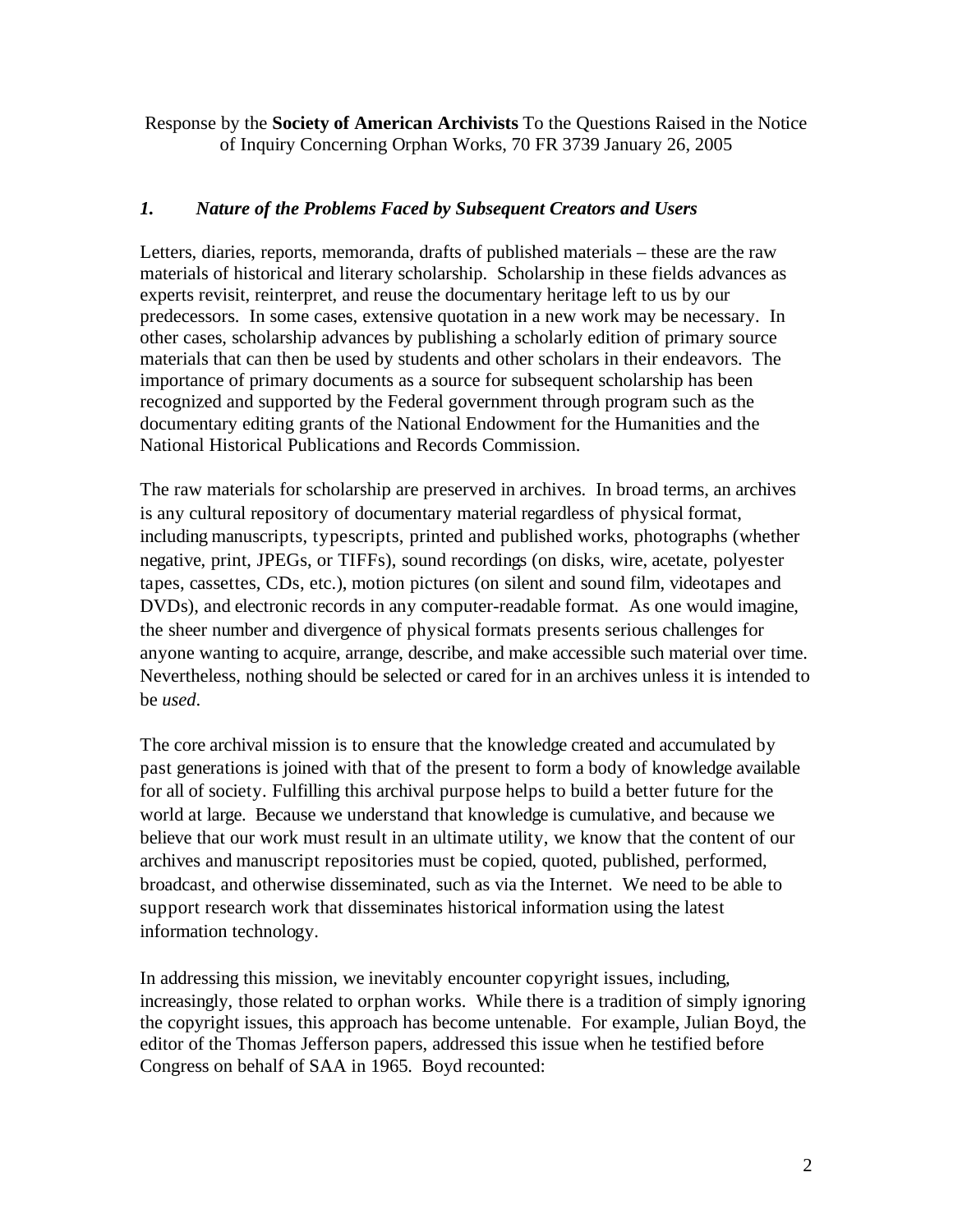Response by the **Society of American Archivists** To the Questions Raised in the Notice of Inquiry Concerning Orphan Works, 70 FR 3739 January 26, 2005

#### *1. Nature of the Problems Faced by Subsequent Creators and Users*

Letters, diaries, reports, memoranda, drafts of published materials – these are the raw materials of historical and literary scholarship. Scholarship in these fields advances as experts revisit, reinterpret, and reuse the documentary heritage left to us by our predecessors. In some cases, extensive quotation in a new work may be necessary. In other cases, scholarship advances by publishing a scholarly edition of primary source materials that can then be used by students and other scholars in their endeavors. The importance of primary documents as a source for subsequent scholarship has been recognized and supported by the Federal government through program such as the documentary editing grants of the National Endowment for the Humanities and the National Historical Publications and Records Commission.

The raw materials for scholarship are preserved in archives. In broad terms, an archives is any cultural repository of documentary material regardless of physical format, including manuscripts, typescripts, printed and published works, photographs (whether negative, print, JPEGs, or TIFFs), sound recordings (on disks, wire, acetate, polyester tapes, cassettes, CDs, etc.), motion pictures (on silent and sound film, videotapes and DVDs), and electronic records in any computer-readable format. As one would imagine, the sheer number and divergence of physical formats presents serious challenges for anyone wanting to acquire, arrange, describe, and make accessible such material over time. Nevertheless, nothing should be selected or cared for in an archives unless it is intended to be *used*.

The core archival mission is to ensure that the knowledge created and accumulated by past generations is joined with that of the present to form a body of knowledge available for all of society. Fulfilling this archival purpose helps to build a better future for the world at large. Because we understand that knowledge is cumulative, and because we believe that our work must result in an ultimate utility, we know that the content of our archives and manuscript repositories must be copied, quoted, published, performed, broadcast, and otherwise disseminated, such as via the Internet. We need to be able to support research work that disseminates historical information using the latest information technology.

In addressing this mission, we inevitably encounter copyright issues, including, increasingly, those related to orphan works. While there is a tradition of simply ignoring the copyright issues, this approach has become untenable. For example, Julian Boyd, the editor of the Thomas Jefferson papers, addressed this issue when he testified before Congress on behalf of SAA in 1965. Boyd recounted: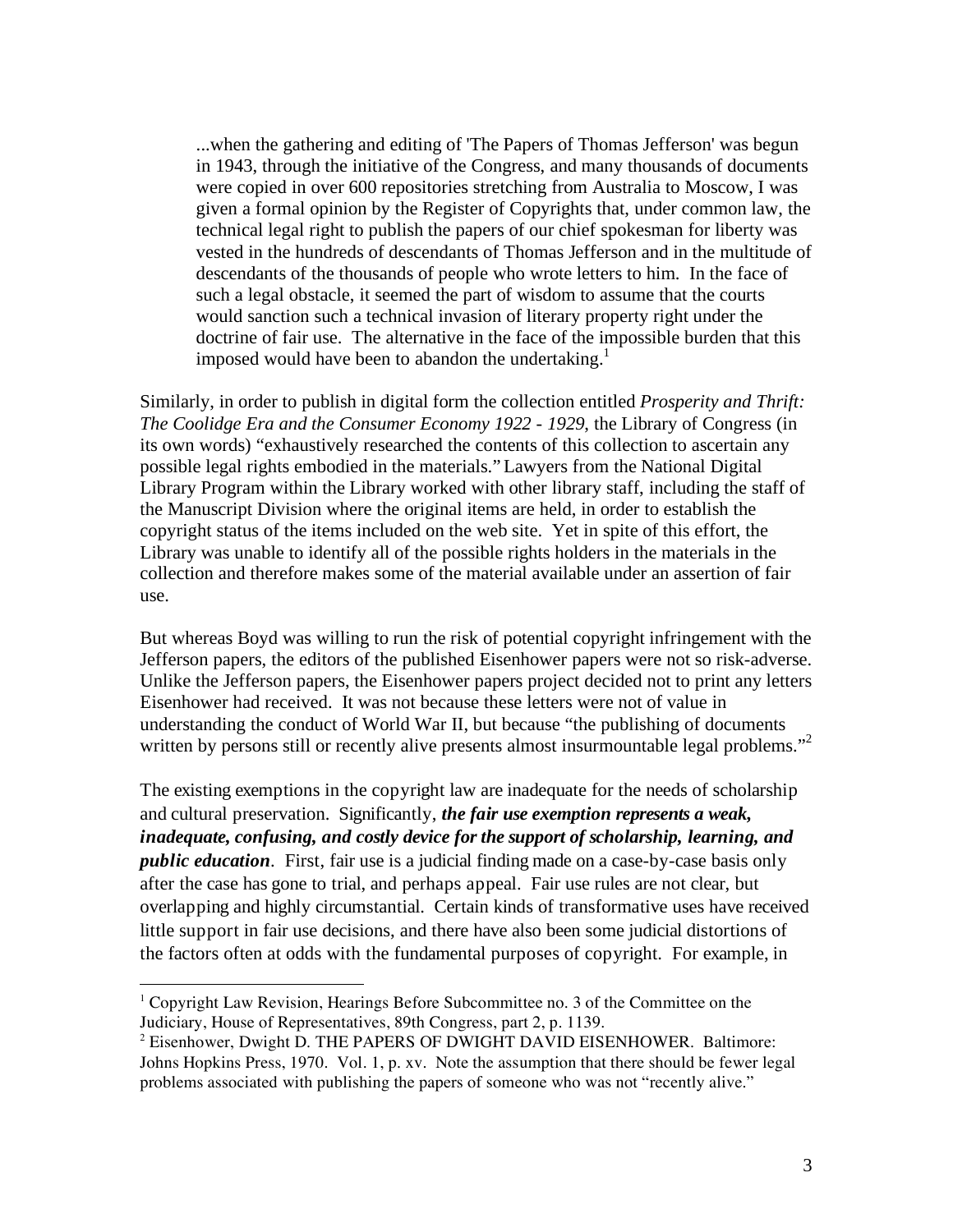...when the gathering and editing of 'The Papers of Thomas Jefferson' was begun in 1943, through the initiative of the Congress, and many thousands of documents were copied in over 600 repositories stretching from Australia to Moscow, I was given a formal opinion by the Register of Copyrights that, under common law, the technical legal right to publish the papers of our chief spokesman for liberty was vested in the hundreds of descendants of Thomas Jefferson and in the multitude of descendants of the thousands of people who wrote letters to him. In the face of such a legal obstacle, it seemed the part of wisdom to assume that the courts would sanction such a technical invasion of literary property right under the doctrine of fair use. The alternative in the face of the impossible burden that this imposed would have been to abandon the undertaking.<sup>1</sup>

Similarly, in order to publish in digital form the collection entitled *Prosperity and Thrift: The Coolidge Era and the Consumer Economy 1922 - 1929*, the Library of Congress (in its own words) "exhaustively researched the contents of this collection to ascertain any possible legal rights embodied in the materials." Lawyers from the National Digital Library Program within the Library worked with other library staff, including the staff of the Manuscript Division where the original items are held, in order to establish the copyright status of the items included on the web site. Yet in spite of this effort, the Library was unable to identify all of the possible rights holders in the materials in the collection and therefore makes some of the material available under an assertion of fair use.

But whereas Boyd was willing to run the risk of potential copyright infringement with the Jefferson papers, the editors of the published Eisenhower papers were not so risk-adverse. Unlike the Jefferson papers, the Eisenhower papers project decided not to print any letters Eisenhower had received. It was not because these letters were not of value in understanding the conduct of World War II, but because "the publishing of documents written by persons still or recently alive presents almost insurmountable legal problems."<sup>2</sup>

The existing exemptions in the copyright law are inadequate for the needs of scholarship and cultural preservation. Significantly, *the fair use exemption represents a weak, inadequate, confusing, and costly device for the support of scholarship, learning, and public education*. First, fair use is a judicial finding made on a case-by-case basis only after the case has gone to trial, and perhaps appeal. Fair use rules are not clear, but overlapping and highly circumstantial. Certain kinds of transformative uses have received little support in fair use decisions, and there have also been some judicial distortions of the factors often at odds with the fundamental purposes of copyright. For example, in

 $1$  Copyright Law Revision, Hearings Before Subcommittee no. 3 of the Committee on the Judiciary, House of Representatives, 89th Congress, part 2, p. 1139.

 $2$  Eisenhower, Dwight D. THE PAPERS OF DWIGHT DAVID EISENHOWER. Baltimore: Johns Hopkins Press, 1970. Vol. 1, p. xv. Note the assumption that there should be fewer legal problems associated with publishing the papers of someone who was not "recently alive."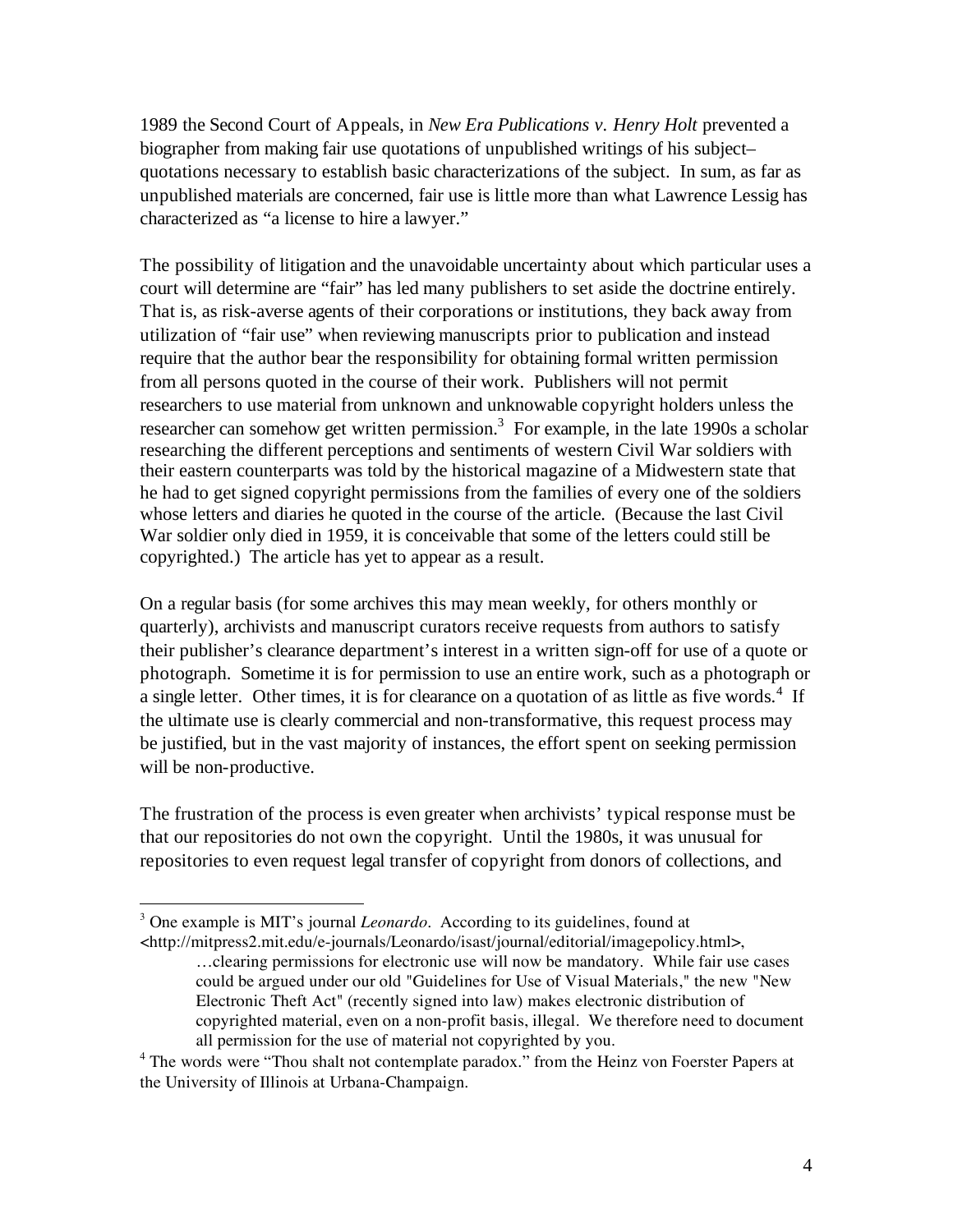1989 the Second Court of Appeals, in *New Era Publications v. Henry Holt* prevented a biographer from making fair use quotations of unpublished writings of his subject– quotations necessary to establish basic characterizations of the subject. In sum, as far as unpublished materials are concerned, fair use is little more than what Lawrence Lessig has characterized as "a license to hire a lawyer."

The possibility of litigation and the unavoidable uncertainty about which particular uses a court will determine are "fair" has led many publishers to set aside the doctrine entirely. That is, as risk-averse agents of their corporations or institutions, they back away from utilization of "fair use" when reviewing manuscripts prior to publication and instead require that the author bear the responsibility for obtaining formal written permission from all persons quoted in the course of their work. Publishers will not permit researchers to use material from unknown and unknowable copyright holders unless the researcher can somehow get written permission.<sup>3</sup> For example, in the late 1990s a scholar researching the different perceptions and sentiments of western Civil War soldiers with their eastern counterparts was told by the historical magazine of a Midwestern state that he had to get signed copyright permissions from the families of every one of the soldiers whose letters and diaries he quoted in the course of the article. (Because the last Civil War soldier only died in 1959, it is conceivable that some of the letters could still be copyrighted.) The article has yet to appear as a result.

On a regular basis (for some archives this may mean weekly, for others monthly or quarterly), archivists and manuscript curators receive requests from authors to satisfy their publisher's clearance department's interest in a written sign-off for use of a quote or photograph. Sometime it is for permission to use an entire work, such as a photograph or a single letter. Other times, it is for clearance on a quotation of as little as five words.<sup>4</sup> If the ultimate use is clearly commercial and non-transformative, this request process may be justified, but in the vast majority of instances, the effort spent on seeking permission will be non-productive.

The frustration of the process is even greater when archivists' typical response must be that our repositories do not own the copyright. Until the 1980s, it was unusual for repositories to even request legal transfer of copyright from donors of collections, and

 $\overline{a}$ <sup>3</sup> One example is MIT's journal *Leonardo*. According to its guidelines, found at <http://mitpress2.mit.edu/e-journals/Leonardo/isast/journal/editorial/imagepolicy.html>,

<sup>…</sup>clearing permissions for electronic use will now be mandatory. While fair use cases could be argued under our old "Guidelines for Use of Visual Materials," the new "New Electronic Theft Act" (recently signed into law) makes electronic distribution of copyrighted material, even on a non-profit basis, illegal. We therefore need to document all permission for the use of material not copyrighted by you.

<sup>&</sup>lt;sup>4</sup> The words were "Thou shalt not contemplate paradox." from the Heinz von Foerster Papers at the University of Illinois at Urbana-Champaign.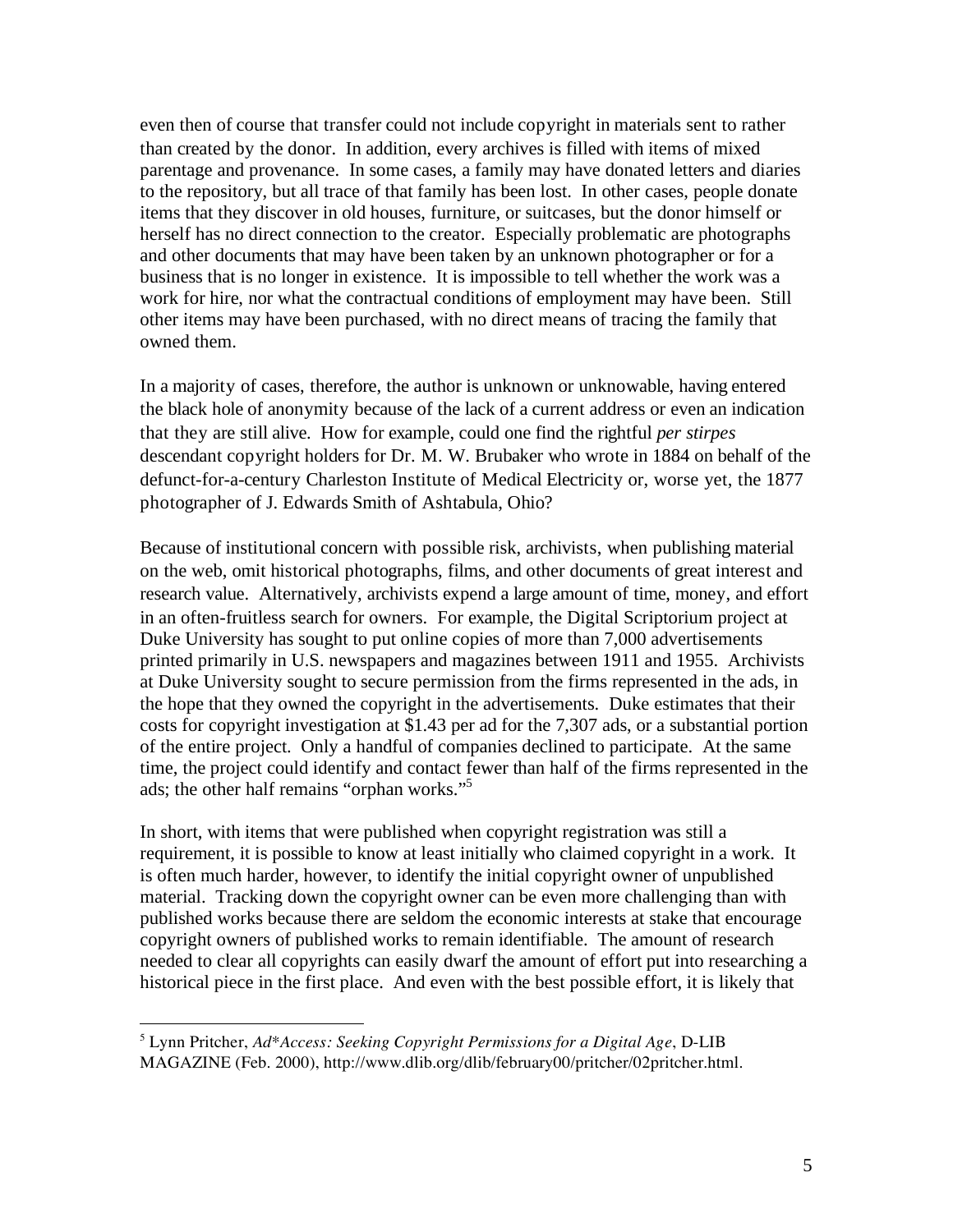even then of course that transfer could not include copyright in materials sent to rather than created by the donor. In addition, every archives is filled with items of mixed parentage and provenance. In some cases, a family may have donated letters and diaries to the repository, but all trace of that family has been lost. In other cases, people donate items that they discover in old houses, furniture, or suitcases, but the donor himself or herself has no direct connection to the creator. Especially problematic are photographs and other documents that may have been taken by an unknown photographer or for a business that is no longer in existence. It is impossible to tell whether the work was a work for hire, nor what the contractual conditions of employment may have been. Still other items may have been purchased, with no direct means of tracing the family that owned them.

In a majority of cases, therefore, the author is unknown or unknowable, having entered the black hole of anonymity because of the lack of a current address or even an indication that they are still alive. How for example, could one find the rightful *per stirpes* descendant copyright holders for Dr. M. W. Brubaker who wrote in 1884 on behalf of the defunct-for-a-century Charleston Institute of Medical Electricity or, worse yet, the 1877 photographer of J. Edwards Smith of Ashtabula, Ohio?

Because of institutional concern with possible risk, archivists, when publishing material on the web, omit historical photographs, films, and other documents of great interest and research value. Alternatively, archivists expend a large amount of time, money, and effort in an often-fruitless search for owners. For example, the Digital Scriptorium project at Duke University has sought to put online copies of more than 7,000 advertisements printed primarily in U.S. newspapers and magazines between 1911 and 1955. Archivists at Duke University sought to secure permission from the firms represented in the ads, in the hope that they owned the copyright in the advertisements. Duke estimates that their costs for copyright investigation at \$1.43 per ad for the 7,307 ads, or a substantial portion of the entire project. Only a handful of companies declined to participate. At the same time, the project could identify and contact fewer than half of the firms represented in the ads; the other half remains "orphan works." 5

In short, with items that were published when copyright registration was still a requirement, it is possible to know at least initially who claimed copyright in a work. It is often much harder, however, to identify the initial copyright owner of unpublished material. Tracking down the copyright owner can be even more challenging than with published works because there are seldom the economic interests at stake that encourage copyright owners of published works to remain identifiable. The amount of research needed to clear all copyrights can easily dwarf the amount of effort put into researching a historical piece in the first place. And even with the best possible effort, it is likely that

<sup>5</sup> Lynn Pritcher, *Ad\*Access: Seeking Copyright Permissions for a Digital Age*, D-LIB MAGAZINE (Feb. 2000), http://www.dlib.org/dlib/february00/pritcher/02pritcher.html.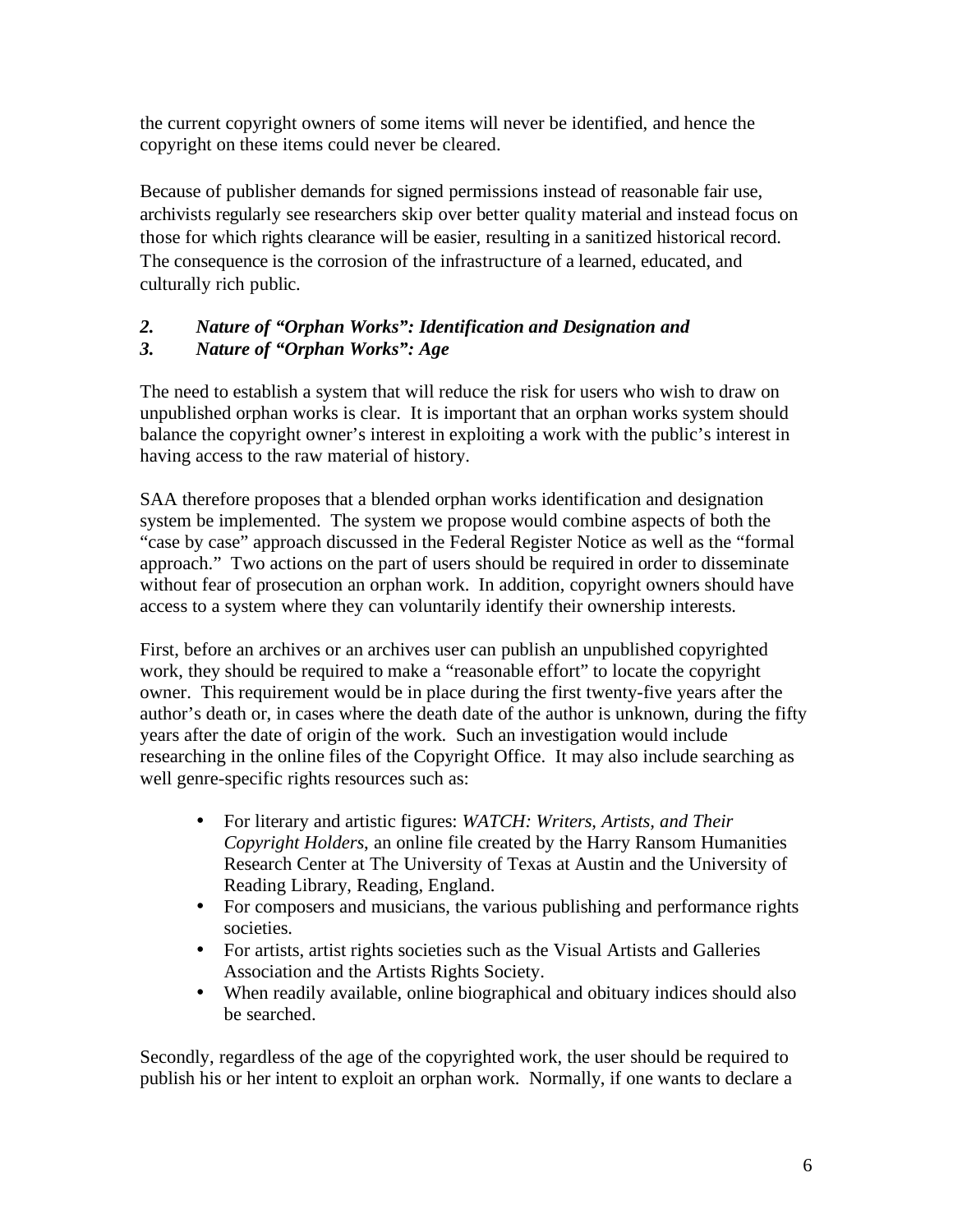the current copyright owners of some items will never be identified, and hence the copyright on these items could never be cleared.

Because of publisher demands for signed permissions instead of reasonable fair use, archivists regularly see researchers skip over better quality material and instead focus on those for which rights clearance will be easier, resulting in a sanitized historical record. The consequence is the corrosion of the infrastructure of a learned, educated, and culturally rich public.

## *2. Nature of "Orphan Works": Identification and Designation and 3. Nature of "Orphan Works": Age*

The need to establish a system that will reduce the risk for users who wish to draw on unpublished orphan works is clear. It is important that an orphan works system should balance the copyright owner's interest in exploiting a work with the public's interest in having access to the raw material of history.

SAA therefore proposes that a blended orphan works identification and designation system be implemented. The system we propose would combine aspects of both the "case by case" approach discussed in the Federal Register Notice as well as the "formal approach." Two actions on the part of users should be required in order to disseminate without fear of prosecution an orphan work. In addition, copyright owners should have access to a system where they can voluntarily identify their ownership interests.

First, before an archives or an archives user can publish an unpublished copyrighted work, they should be required to make a "reasonable effort" to locate the copyright owner. This requirement would be in place during the first twenty-five years after the author's death or, in cases where the death date of the author is unknown, during the fifty years after the date of origin of the work. Such an investigation would include researching in the online files of the Copyright Office. It may also include searching as well genre-specific rights resources such as:

- For literary and artistic figures: *WATCH: Writers, Artists, and Their Copyright Holders*, an online file created by the Harry Ransom Humanities Research Center at The University of Texas at Austin and the University of Reading Library, Reading, England.
- For composers and musicians, the various publishing and performance rights societies.
- For artists, artist rights societies such as the Visual Artists and Galleries Association and the Artists Rights Society.
- When readily available, online biographical and obituary indices should also be searched.

Secondly, regardless of the age of the copyrighted work, the user should be required to publish his or her intent to exploit an orphan work. Normally, if one wants to declare a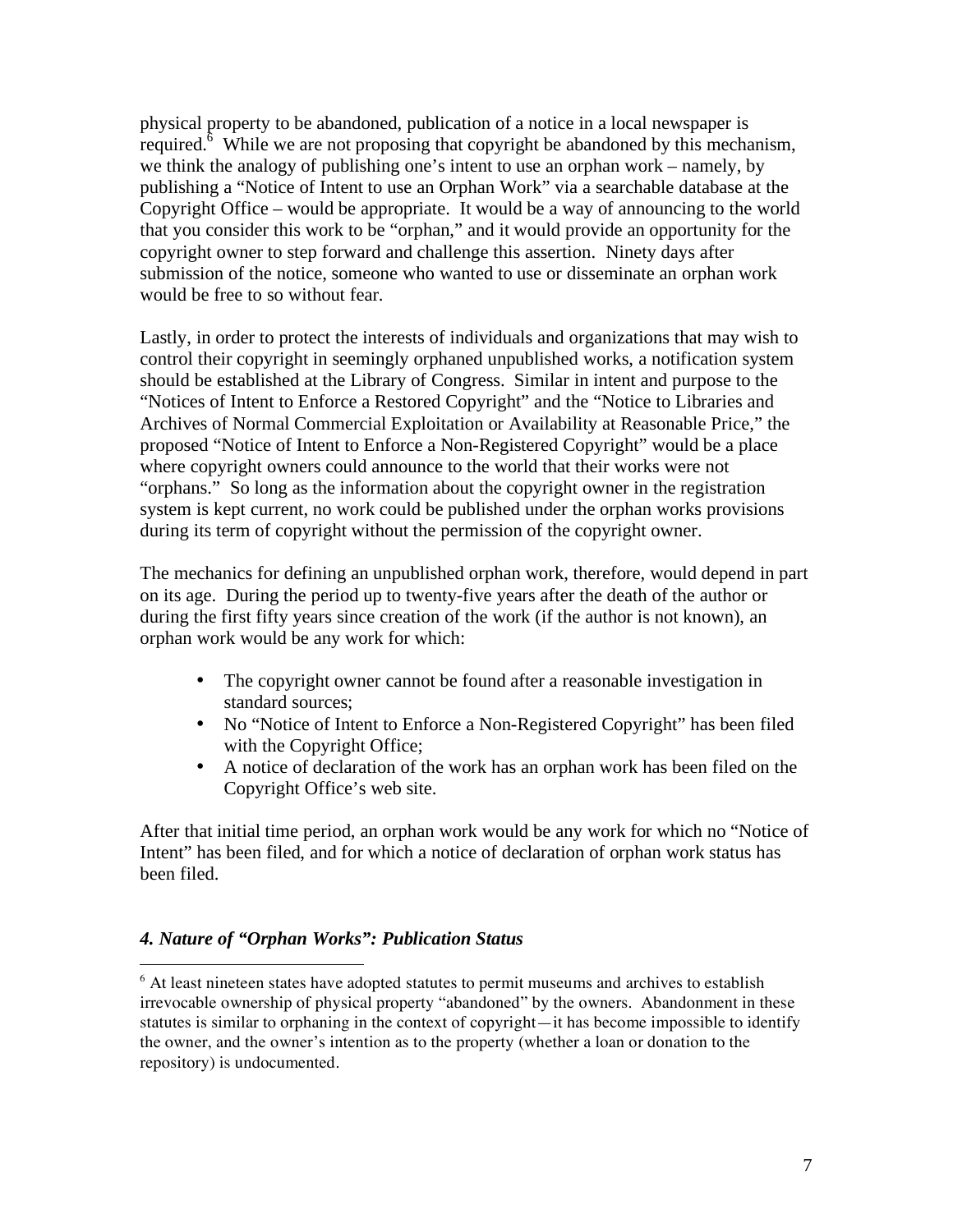physical property to be abandoned, publication of a notice in a local newspaper is required.<sup>6</sup> While we are not proposing that copyright be abandoned by this mechanism, we think the analogy of publishing one's intent to use an orphan work – namely, by publishing a "Notice of Intent to use an Orphan Work" via a searchable database at the Copyright Office – would be appropriate. It would be a way of announcing to the world that you consider this work to be "orphan," and it would provide an opportunity for the copyright owner to step forward and challenge this assertion. Ninety days after submission of the notice, someone who wanted to use or disseminate an orphan work would be free to so without fear.

Lastly, in order to protect the interests of individuals and organizations that may wish to control their copyright in seemingly orphaned unpublished works, a notification system should be established at the Library of Congress. Similar in intent and purpose to the "Notices of Intent to Enforce a Restored Copyright" and the "Notice to Libraries and Archives of Normal Commercial Exploitation or Availability at Reasonable Price," the proposed "Notice of Intent to Enforce a Non-Registered Copyright" would be a place where copyright owners could announce to the world that their works were not "orphans." So long as the information about the copyright owner in the registration system is kept current, no work could be published under the orphan works provisions during its term of copyright without the permission of the copyright owner.

The mechanics for defining an unpublished orphan work, therefore, would depend in part on its age. During the period up to twenty-five years after the death of the author or during the first fifty years since creation of the work (if the author is not known), an orphan work would be any work for which:

- The copyright owner cannot be found after a reasonable investigation in standard sources;
- No "Notice of Intent to Enforce a Non-Registered Copyright" has been filed with the Copyright Office;
- A notice of declaration of the work has an orphan work has been filed on the Copyright Office's web site.

After that initial time period, an orphan work would be any work for which no "Notice of Intent" has been filed, and for which a notice of declaration of orphan work status has been filed.

## *4. Nature of "Orphan Works": Publication Status*

 $6$  At least nineteen states have adopted statutes to permit museums and archives to establish irrevocable ownership of physical property "abandoned" by the owners. Abandonment in these statutes is similar to orphaning in the context of copyright—it has become impossible to identify the owner, and the owner's intention as to the property (whether a loan or donation to the repository) is undocumented.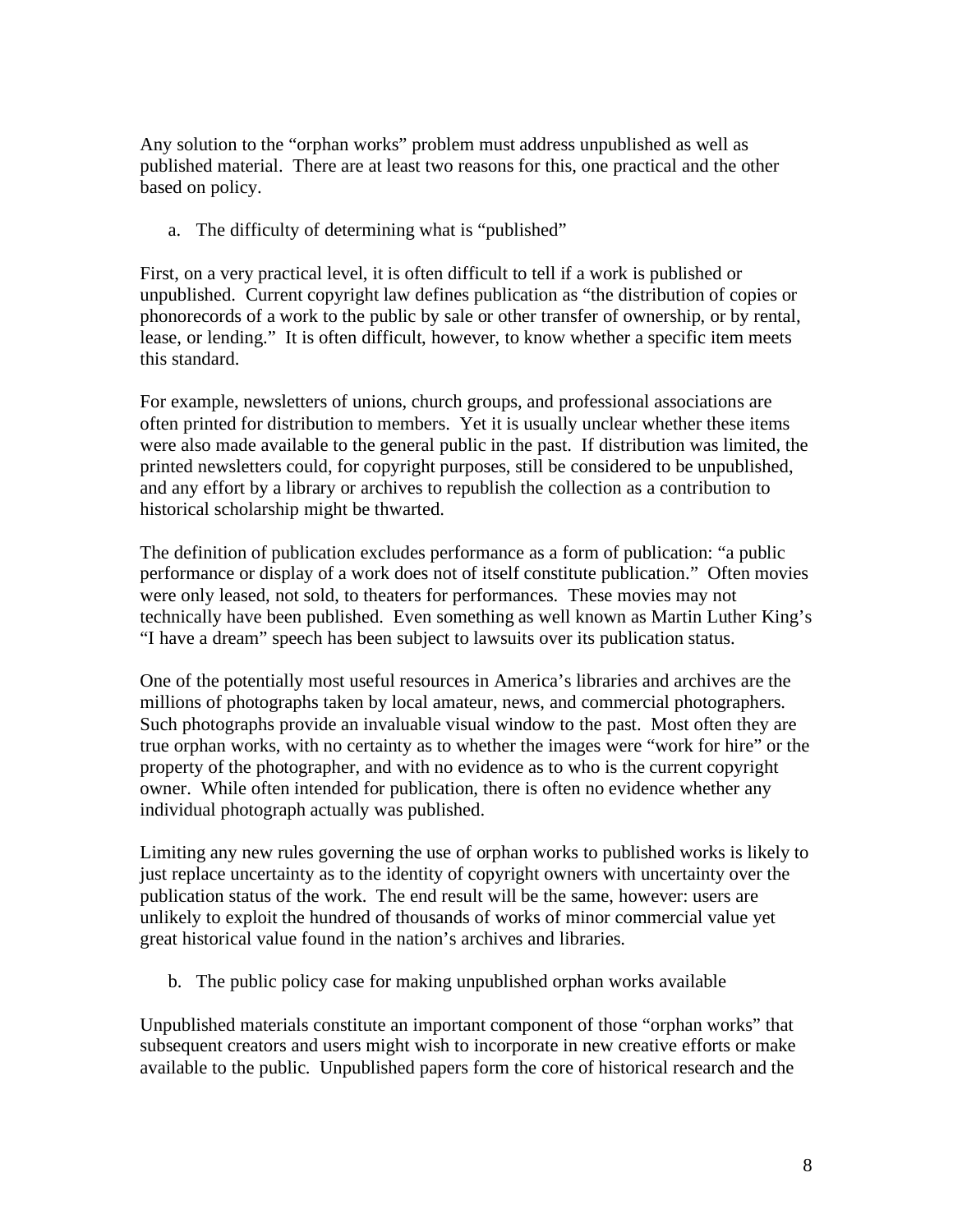Any solution to the "orphan works" problem must address unpublished as well as published material. There are at least two reasons for this, one practical and the other based on policy.

a. The difficulty of determining what is "published"

First, on a very practical level, it is often difficult to tell if a work is published or unpublished. Current copyright law defines publication as "the distribution of copies or phonorecords of a work to the public by sale or other transfer of ownership, or by rental, lease, or lending." It is often difficult, however, to know whether a specific item meets this standard.

For example, newsletters of unions, church groups, and professional associations are often printed for distribution to members. Yet it is usually unclear whether these items were also made available to the general public in the past. If distribution was limited, the printed newsletters could, for copyright purposes, still be considered to be unpublished, and any effort by a library or archives to republish the collection as a contribution to historical scholarship might be thwarted.

The definition of publication excludes performance as a form of publication: "a public performance or display of a work does not of itself constitute publication." Often movies were only leased, not sold, to theaters for performances. These movies may not technically have been published. Even something as well known as Martin Luther King's "I have a dream" speech has been subject to lawsuits over its publication status.

One of the potentially most useful resources in America's libraries and archives are the millions of photographs taken by local amateur, news, and commercial photographers. Such photographs provide an invaluable visual window to the past. Most often they are true orphan works, with no certainty as to whether the images were "work for hire" or the property of the photographer, and with no evidence as to who is the current copyright owner. While often intended for publication, there is often no evidence whether any individual photograph actually was published.

Limiting any new rules governing the use of orphan works to published works is likely to just replace uncertainty as to the identity of copyright owners with uncertainty over the publication status of the work. The end result will be the same, however: users are unlikely to exploit the hundred of thousands of works of minor commercial value yet great historical value found in the nation's archives and libraries.

b. The public policy case for making unpublished orphan works available

Unpublished materials constitute an important component of those "orphan works" that subsequent creators and users might wish to incorporate in new creative efforts or make available to the public. Unpublished papers form the core of historical research and the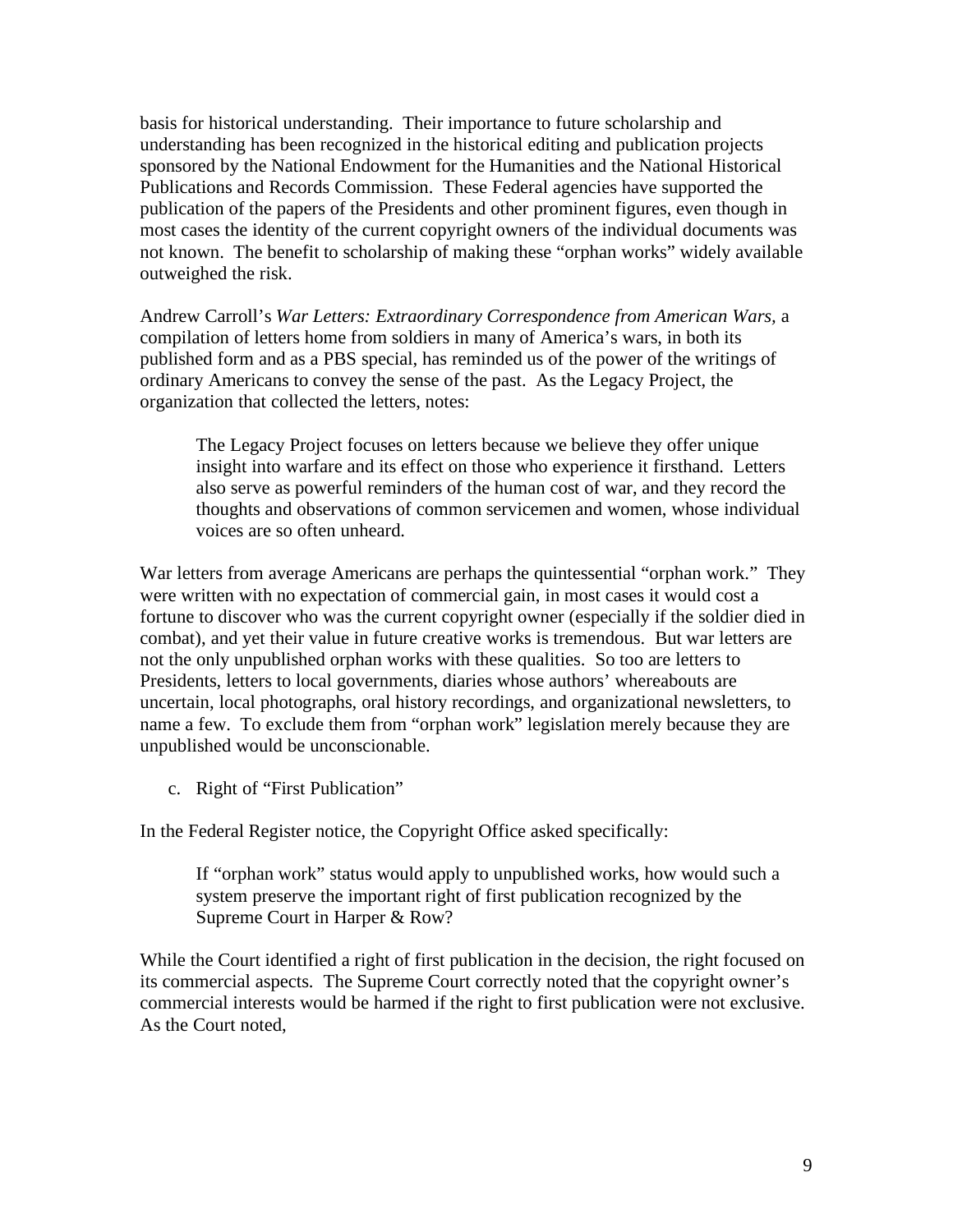basis for historical understanding. Their importance to future scholarship and understanding has been recognized in the historical editing and publication projects sponsored by the National Endowment for the Humanities and the National Historical Publications and Records Commission. These Federal agencies have supported the publication of the papers of the Presidents and other prominent figures, even though in most cases the identity of the current copyright owners of the individual documents was not known. The benefit to scholarship of making these "orphan works" widely available outweighed the risk.

Andrew Carroll's *War Letters: Extraordinary Correspondence from American Wars,* a compilation of letters home from soldiers in many of America's wars, in both its published form and as a PBS special, has reminded us of the power of the writings of ordinary Americans to convey the sense of the past. As the Legacy Project, the organization that collected the letters, notes:

The Legacy Project focuses on letters because we believe they offer unique insight into warfare and its effect on those who experience it firsthand. Letters also serve as powerful reminders of the human cost of war, and they record the thoughts and observations of common servicemen and women, whose individual voices are so often unheard.

War letters from average Americans are perhaps the quintessential "orphan work." They were written with no expectation of commercial gain, in most cases it would cost a fortune to discover who was the current copyright owner (especially if the soldier died in combat), and yet their value in future creative works is tremendous. But war letters are not the only unpublished orphan works with these qualities. So too are letters to Presidents, letters to local governments, diaries whose authors' whereabouts are uncertain, local photographs, oral history recordings, and organizational newsletters, to name a few. To exclude them from "orphan work" legislation merely because they are unpublished would be unconscionable.

c. Right of "First Publication"

In the Federal Register notice, the Copyright Office asked specifically:

If "orphan work" status would apply to unpublished works, how would such a system preserve the important right of first publication recognized by the Supreme Court in Harper & Row?

While the Court identified a right of first publication in the decision, the right focused on its commercial aspects. The Supreme Court correctly noted that the copyright owner's commercial interests would be harmed if the right to first publication were not exclusive. As the Court noted,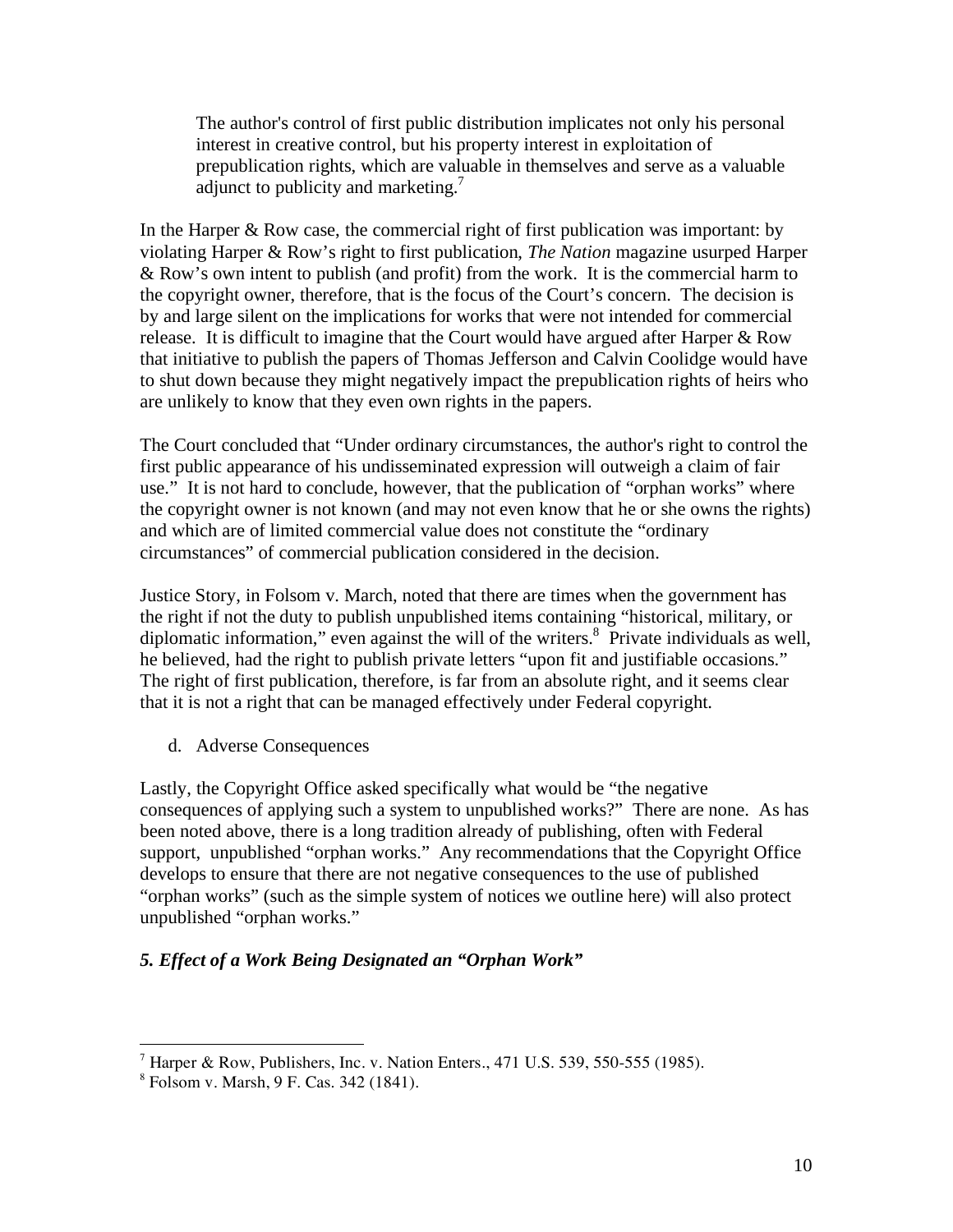The author's control of first public distribution implicates not only his personal interest in creative control, but his property interest in exploitation of prepublication rights, which are valuable in themselves and serve as a valuable adjunct to publicity and marketing.<sup>7</sup>

In the Harper & Row case, the commercial right of first publication was important: by violating Harper & Row's right to first publication, *The Nation* magazine usurped Harper & Row's own intent to publish (and profit) from the work. It is the commercial harm to the copyright owner, therefore, that is the focus of the Court's concern. The decision is by and large silent on the implications for works that were not intended for commercial release. It is difficult to imagine that the Court would have argued after Harper & Row that initiative to publish the papers of Thomas Jefferson and Calvin Coolidge would have to shut down because they might negatively impact the prepublication rights of heirs who are unlikely to know that they even own rights in the papers.

The Court concluded that "Under ordinary circumstances, the author's right to control the first public appearance of his undisseminated expression will outweigh a claim of fair use." It is not hard to conclude, however, that the publication of "orphan works" where the copyright owner is not known (and may not even know that he or she owns the rights) and which are of limited commercial value does not constitute the "ordinary circumstances" of commercial publication considered in the decision.

Justice Story, in Folsom v. March, noted that there are times when the government has the right if not the duty to publish unpublished items containing "historical, military, or diplomatic information," even against the will of the writers.<sup>8</sup> Private individuals as well, he believed, had the right to publish private letters "upon fit and justifiable occasions." The right of first publication, therefore, is far from an absolute right, and it seems clear that it is not a right that can be managed effectively under Federal copyright.

d. Adverse Consequences

Lastly, the Copyright Office asked specifically what would be "the negative consequences of applying such a system to unpublished works?" There are none. As has been noted above, there is a long tradition already of publishing, often with Federal support, unpublished "orphan works." Any recommendations that the Copyright Office develops to ensure that there are not negative consequences to the use of published "orphan works" (such as the simple system of notices we outline here) will also protect unpublished "orphan works."

## *5. Effect of a Work Being Designated an "Orphan Work"*

<sup>&</sup>lt;sup>7</sup> Harper & Row, Publishers, Inc. v. Nation Enters., 471 U.S. 539, 550-555 (1985).

<sup>8</sup> Folsom v. Marsh, 9 F. Cas. 342 (1841).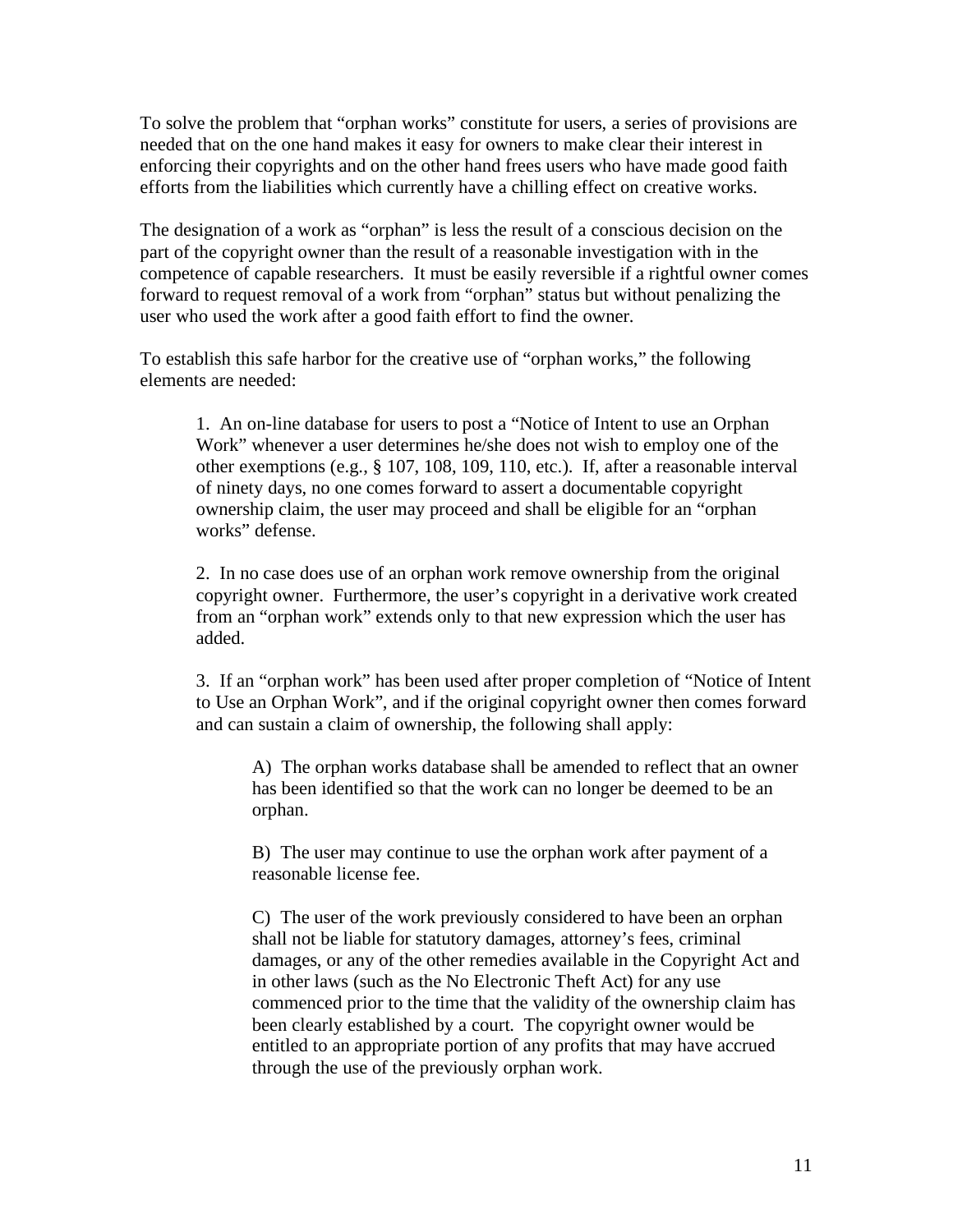To solve the problem that "orphan works" constitute for users, a series of provisions are needed that on the one hand makes it easy for owners to make clear their interest in enforcing their copyrights and on the other hand frees users who have made good faith efforts from the liabilities which currently have a chilling effect on creative works.

The designation of a work as "orphan" is less the result of a conscious decision on the part of the copyright owner than the result of a reasonable investigation with in the competence of capable researchers. It must be easily reversible if a rightful owner comes forward to request removal of a work from "orphan" status but without penalizing the user who used the work after a good faith effort to find the owner.

To establish this safe harbor for the creative use of "orphan works," the following elements are needed:

1. An on-line database for users to post a "Notice of Intent to use an Orphan Work" whenever a user determines he/she does not wish to employ one of the other exemptions (e.g., § 107, 108, 109, 110, etc.). If, after a reasonable interval of ninety days, no one comes forward to assert a documentable copyright ownership claim, the user may proceed and shall be eligible for an "orphan works" defense.

2. In no case does use of an orphan work remove ownership from the original copyright owner. Furthermore, the user's copyright in a derivative work created from an "orphan work" extends only to that new expression which the user has added.

3. If an "orphan work" has been used after proper completion of "Notice of Intent to Use an Orphan Work", and if the original copyright owner then comes forward and can sustain a claim of ownership, the following shall apply:

A) The orphan works database shall be amended to reflect that an owner has been identified so that the work can no longer be deemed to be an orphan.

B) The user may continue to use the orphan work after payment of a reasonable license fee.

C) The user of the work previously considered to have been an orphan shall not be liable for statutory damages, attorney's fees, criminal damages, or any of the other remedies available in the Copyright Act and in other laws (such as the No Electronic Theft Act) for any use commenced prior to the time that the validity of the ownership claim has been clearly established by a court. The copyright owner would be entitled to an appropriate portion of any profits that may have accrued through the use of the previously orphan work.